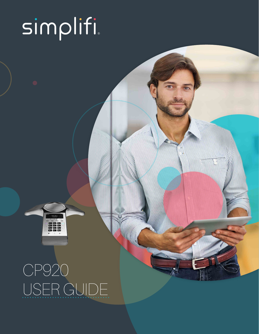# simplifi

# CP920 USER GUIDE

888<br>888

**MARK COMMUNITY**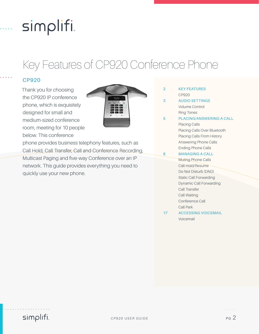## simplifi.

### Key Features of CP920 Conference Phone

#### **CP920**

Thank you for choosing the CP920 IP conference phone, which is exquisitely designed for small and medium-sized conference room, meeting for 10 people below. This conference



phone provides business telephony features, such as Call Hold, Call Transfer, Call and Conference Recording, Multicast Paging and five-way Conference over an IP network. This guide provides everything you need to quickly use your new phone.

- **2 KEY FEATURES** CP920
- **3 AUDIO SETTINGS** Volume Control Ring Tones
- **5 PLACING/ANSWERING A CALL** Placing Calls Placing Calls Over Bluetooth Placing Calls From History Answering Phone Calls Ending Phone Calls **8 MANAGING A CALL**
	- Muting Phone Calls Call Hold/Resume Do Not Disturb (DND) Static Call Forwarding Dynamic Call Forwarding Call Transfer Call Waiting Conference Call Call Park
- **17 ACCESSING VOICEMAIL** Voicemail

simplifi.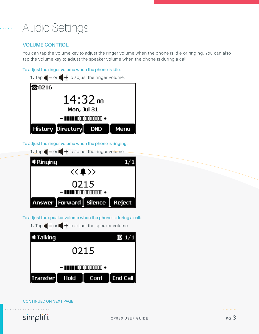### Audio Settings

#### **VOLUME CONTROL**

You can tap the volume key to adjust the ringer volume when the phone is idle or ringing. You can also tap the volume key to adjust the speaker volume when the phone is during a call.

#### **To adjust the ringer volume when the phone is idle:**



#### **To adjust the ringer volume when the phone is ringing:**



**To adjust the speaker volume when the phone is during a call:**

**1.** Tap  $\bullet$  - or  $\bullet$  + to adjust the speaker volume.

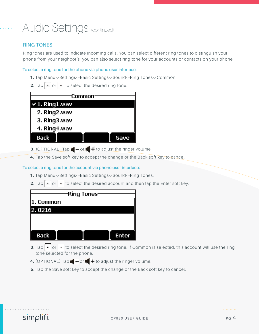### Audio Settings (continued)

#### **RING TONES**

Ring tones are used to indicate incoming calls. You can select different ring tones to distinguish your phone from your neighbor's, you can also select ring tone for your accounts or contacts on your phone.

#### **To select a ring tone for the phone via phone user interface:**

- **1.** Tap Menu->Settings->Basic Settings->Sound->Ring Tones->Common.
- **2.** Tap or to select the desired ring tone.

| `ommon                  |      |  |
|-------------------------|------|--|
| $\times$ 1. Ring 1. wav |      |  |
| 2. Ring2.wav            |      |  |
| 3. Ring3.wav            |      |  |
| 4. Ring4.wav            |      |  |
| Back                    | Save |  |

- **3.** (OPTIONAL) Tap  $\bullet$  or  $\bullet$  + to adjust the ringer volume.
- **4.** Tap the Save soft key to accept the change or the Back soft key to cancel.

#### **To select a ring tone for the account via phone user interface:**

- **1.** Tap Menu->Settings->Basic Settings->Sound->Ring Tones.
- **2.** Tap or to select the desired account and then tap the Enter soft key.

|             | <b>Ring Tones</b> |              |
|-------------|-------------------|--------------|
| 1. Common   |                   |              |
| 2.0216      |                   |              |
|             |                   |              |
|             |                   |              |
| <b>Back</b> |                   | <b>Enter</b> |

- **3.** Tap  $\begin{bmatrix} \bullet \\ \bullet \end{bmatrix}$  or  $\begin{bmatrix} \bullet \\ \bullet \end{bmatrix}$  to select the desired ring tone. If Common is selected, this account will use the ring tone selected for the phone.
- **4.** (OPTIONAL) Tap  $\blacksquare$  or  $\blacksquare$  + to adjust the ringer volume.
- **5.** Tap the Save soft key to accept the change or the Back soft key to cancel.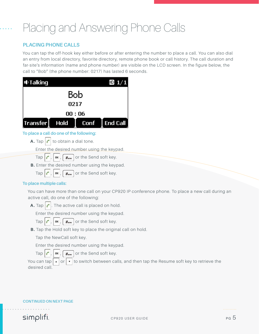### Placing and Answering Phone Calls

#### **PLACING PHONE CALLS**

You can tap the off-hook key either before or after entering the number to place a call. You can also dial an entry from local directory, favorite directory, remote phone book or call history. The call duration and far-site's information (name and phone number) are visible on the LCD screen. In the figure below, the call to "Bob" (the phone number: 0217) has lasted 6 seconds.

| <b>I</b> Talking               |         | $\pmb{\mathbb{D}}$ 1/1 |
|--------------------------------|---------|------------------------|
|                                | Bob     |                        |
| 0217                           |         |                        |
|                                | 00 : 06 |                        |
| <b>Hold</b><br><b>Transfer</b> |         | Conf End Call          |

#### **To place a call do one of the following:**

**A.** Tap  $\left| \right|$  to obtain a dial tone.

Enter the desired number using the keypad.

- Tap  $\left| \right|$ , or  $\left| \right|$ ,  $\left| \right|$  #send soft key.
- **B.** Enter the desired number using the keypad.
	- Tap  $\left| \int_{0}^{\infty} \right|$ ,  $\left| \int_{0}^{\infty}$  are the Send soft key.

#### **To place multiple calls:**

You can have more than one call on your CP920 IP conference phone. To place a new call during an active call, do one of the following:

**A.** Tap  $\left| \right|$ . The active call is placed on hold.

Enter the desired number using the keypad.

Tap  $\left| \int_{0}^{\infty} \right|$ ,  $\left| \int_{0}^{\infty} \right|$  or the Send soft key.

**B.** Tap the Hold soft key to place the original call on hold.

Tap the NewCall soft key.

Enter the desired number using the keypad.

Tap  $\left| \int_{0}^{\infty} \right|$ , or  $\left| \int_{0}^{\infty} \right|$  are the Send soft key.

You can tap  $\left| \cdot \right|$  or  $\left| \cdot \right|$  to switch between calls, and then tap the Resume soft key to retrieve the desired call.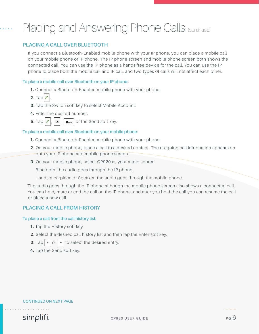### Placing and Answering Phone Calls (continued)

#### **PLACING A CALL OVER BLUETOOTH**

If you connect a Bluetooth-Enabled mobile phone with your IP phone, you can place a mobile call on your mobile phone or IP phone. The IP phone screen and mobile phone screen both shows the connected call. You can use the IP phone as a hands free device for the call. You can use the IP phone to place both the mobile call and IP call, and two types of calls will not affect each other.

#### **To place a mobile call over Bluetooth on your IP phone:**

- **1.** Connect a Bluetooth-Enabled mobile phone with your phone.
- $2.$  Tap  $\mathcal C$
- **3.** Tap the Switch soft key to select Mobile Account.
- **4.** Enter the desired number.
- **5.** Tap  $\begin{bmatrix} \cdot \\ \cdot \end{bmatrix}$  or  $\begin{bmatrix} \cdot \\ \cdot \end{bmatrix}$  for the Send soft key.

#### **To place a mobile call over Bluetooth on your mobile phone:**

- **1.** Connect a Bluetooth-Enabled mobile phone with your phone.
- **2.** On your mobile phone, place a call to a desired contact. The outgoing call information appears on both your IP phone and mobile phone screen.
- **3.** On your mobile phone, select CP920 as your audio source.

Bluetooth: the audio goes through the IP phone.

Handset earpiece or Speaker: the audio goes through the mobile phone.

The audio goes through the IP phone although the mobile phone screen also shows a connected call. You can hold, mute or end the call on the IP phone, and after you hold the call you can resume the call or place a new call.

#### **PLACING A CALL FROM HISTORY**

#### **To place a call from the call history list:**

- **1.** Tap the History soft key.
- **2.** Select the desired call history list and then tap the Enter soft key.
- **3.** Tap or to select the desired entry.
- **4.** Tap the Send soft key.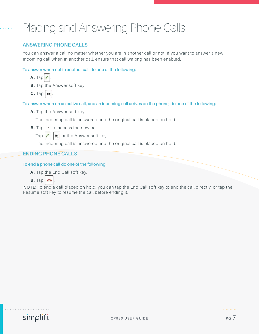### Placing and Answering Phone Calls

#### **ANSWERING PHONE CALLS**

You can answer a call no matter whether you are in another call or not. If you want to answer a new incoming call when in another call, ensure that call waiting has been enabled.

#### **To answer when not in another call do one of the following:**

- $A.$  Tap  $\sim$
- **B.** Tap the Answer soft key.
- $C.$  Tap  $\alpha$

#### **To answer when on an active call, and an incoming call arrives on the phone, do one of the following:**

**A.** Tap the Answer soft key.

The incoming call is answered and the original call is placed on hold.

- **B.** Tap  $\mathbf{\cdot}$  to access the new call.
	- Tap  $\left| \int_{0}^{\infty} \right|$  or the Answer soft key.

The incoming call is answered and the original call is placed on hold.

#### **ENDING PHONE CALLS**

#### **To end a phone call do one of the following:**

A. Tap the End Call soft key.



**NOTE:** To end a call placed on hold, you can tap the End Call soft key to end the call directly, or tap the Resume soft key to resume the call before ending it.

simplifi

. . . . . . . . . .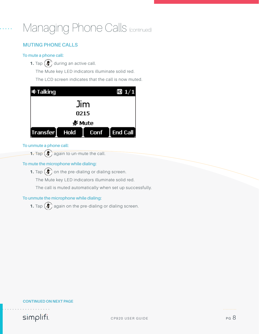#### **MUTING PHONE CALLS**

#### **To mute a phone call:**

**1.** Tap  $(\bigotimes)$  during an active call.

The Mute key LED indicators illuminate solid red.

The LCD screen indicates that the call is now muted.



#### **To unmute a phone call:**

**1.** Tap  $(\ell)$  again to un-mute the call.

#### **To mute the microphone while dialing:**

**1.** Tap  $(\diamondsuit)$  on the pre-dialing or dialing screen.

The Mute key LED indicators illuminate solid red.

The call is muted automatically when set up successfully.

#### **To unmute the microphone while dialing:**

**1.** Tap  $(\diamondsuit)$  again on the pre-dialing or dialing screen.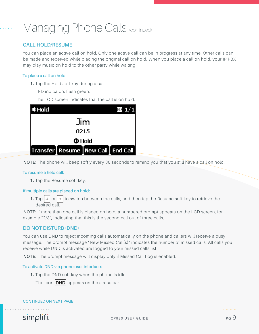#### **CALL HOLD/RESUME**

You can place an active call on hold. Only one active call can be in progress at any time. Other calls can be made and received while placing the original call on hold. When you place a call on hold, your IP PBX may play music on hold to the other party while waiting.

#### **To place a call on hold:**

- **1.** Tap the Hold soft key during a call.
	- LED indicators flash green.

The LCD screen indicates that the call is on hold.



**NOTE:** The phone will beep softly every 30 seconds to remind you that you still have a call on hold.

#### **To resume a held call:**

**1.** Tap the Resume soft key.

#### **If multiple calls are placed on hold:**

**1.** Tap  $\blacktriangleright$  or  $\blacktriangleright$  to switch between the calls, and then tap the Resume soft key to retrieve the desired call.

**NOTE:** If more than one call is placed on hold, a numbered prompt appears on the LCD screen, for example "2/3", indicating that this is the second call out of three calls.

#### **DO NOT DISTURB (DND)**

You can use DND to reject incoming calls automatically on the phone and callers will receive a busy message. The prompt message "New Missed Call(s)" indicates the number of missed calls. All calls you receive while DND is activated are logged to your missed calls list.

**NOTE:** The prompt message will display only if Missed Call Log is enabled.

#### **To activate DND via phone user interface:**

**1.** Tap the DND soft key when the phone is idle.

The icon  $DND$  appears on the status bar.

#### **CONTINUED ON NEXT PAGE**

simplifi.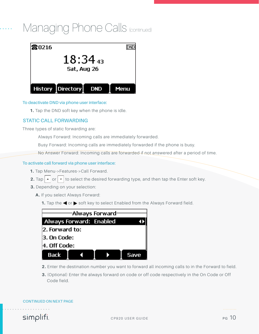

#### **To deactivate DND via phone user interface:**

**1.** Tap the DND soft key when the phone is idle.

#### **STATIC CALL FORWARDING**

Three types of static forwarding are:

Always Forward: Incoming calls are immediately forwarded.

Busy Forward: Incoming calls are immediately forwarded if the phone is busy.

No Answer Forward: Incoming calls are forwarded if not answered after a period of time.

#### **To activate call forward via phone user interface:**

- **1.** Tap Menu->Features->Call Forward.
- **2.** Tap  $\boxed{\cdot}$  or  $\boxed{\cdot}$  to select the desired forwarding type, and then tap the Enter soft key.
- **3.** Depending on your selection:
	- **A.** If you select Always Forward:
		- **1.** Tap the **o**r soft key to select Enabled from the Always Forward field.



- **2.** Enter the destination number you want to forward all incoming calls to in the Forward to field.
- **3.** (Optional) Enter the always forward on code or off code respectively in the On Code or Off Code field.

#### **CONTINUED ON NEXT PAGE**

simplifi.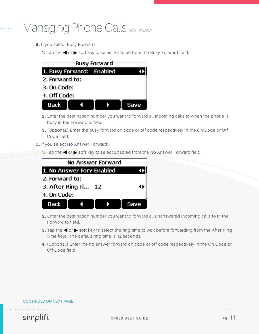- **B.** If you select Busy Forward:
	- **1.** Tap the **o**r soft key to select Enabled from the Busy Forward field.

| Busy Forward <sup>.</sup> |  |  |
|---------------------------|--|--|
| 1. Busy Forward: Enabled  |  |  |
| 2. Forward to:            |  |  |
| 3. On Code:               |  |  |
| 4. Off Code:              |  |  |
| <b>Back</b>               |  |  |

- **2.** Enter the destination number you want to forward all incoming calls to when the phone is busy in the Forward to field.
- **3.** (Optional.) Enter the busy forward on code or off code respectively in the On Code or Off Code field.
- **C.** If you select No Answer Forward:
	- **1.** Tap the  $\blacktriangleleft$  or  $\blacktriangleright$  soft key to select Enabled from the No Answer Forward field.



- **2.** Enter the destination number you want to forward all unanswered incoming calls to in the Forward to field.
- **3.** Tap the  $\triangleleft$  or  $\triangleright$  soft key to select the ring time to wait before forwarding from the After Ring Time field. The default ring time is 12 seconds.
- **4.** (Optional.) Enter the no answer forward on code or off code respectively in the On Code or Off Code field.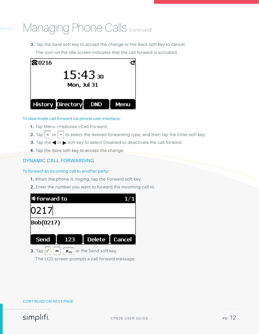**3.** Tap the Save soft key to accept the change or the Back soft key to cancel.

The icon on the idle screen indicates that the call forward is activated.



#### **To deactivate call forward via phone user interface:**

- **1.** Tap Menu->Features->Call Forward.
- **2.** Tap or to select the desired forwarding type, and then tap the Enter soft key.
- **3.** Tap the  $\blacktriangleleft$  or  $\blacktriangleright$  soft key to select Disabled to deactivate the call forward.
- **4.** Tap the Save soft key to accept the change.

#### **DYNAMIC CALL FORWARDING**

#### **To forward an incoming call to another party:**

- **1.** When the phone is ringing, tap the Forward soft key.
- **2.** Enter the number you want to forward the incoming call to.



The LCD screen prompts a call forward message.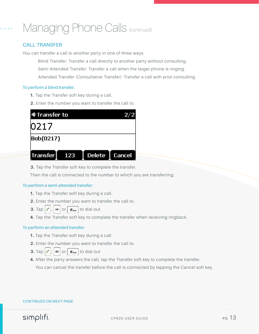#### **CALL TRANSFER**

You can transfer a call to another party in one of three ways:

Blind Transfer: Transfer a call directly to another party without consulting. Semi-Attended Transfer: Transfer a call when the target phone is ringing. Attended Transfer (Consultative Transfer): Transfer a call with prior consulting.

#### **To perform a blind transfer:**

- **1.** Tap the Transfer soft key during a call.
- **2.** Enter the number you want to transfer the call to.

| <b>ФTransfer to</b> |        |               |             |
|---------------------|--------|---------------|-------------|
| 0217                |        |               |             |
| Bob(0217)           |        |               |             |
| <b>Transfer</b>     | $-123$ | <b>Delete</b> | ı<br>Cancel |

**3.** Tap the Transfer soft key to complete the transfer.

Then the call is connected to the number to which you are transferring.

#### **To perform a semi-attended transfer:**

- **1.** Tap the Transfer soft key during a call.
- **2.** Enter the number you want to transfer the call to.
- **3.** Tap  $\begin{bmatrix} \cdot \\ \cdot \end{bmatrix}$ , or  $\begin{bmatrix} \text{#}_{\text{sem}} \end{bmatrix}$  to dial out.
- **4.** Tap the Transfer soft key to complete the transfer when receiving ringback.

#### **To perform an attended transfer:**

- **1.** Tap the Transfer soft key during a call.
- **2.** Enter the number you want to transfer the call to.
- **3.** Tap  $\begin{bmatrix} \cdot \\ \cdot \end{bmatrix}$ ,  $\begin{bmatrix} \circ \\ \circ \end{bmatrix}$  or  $\begin{bmatrix} \#_{\text{sevo}} \\ \end{bmatrix}$  to dial out.
- **4.** After the party answers the call, tap the Transfer soft key to complete the transfer.

You can cancel the transfer before the call is connected by tapping the Cancel soft key.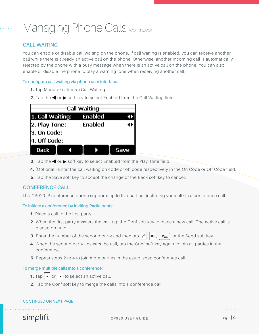#### **CALL WAITING**

You can enable or disable call waiting on the phone. If call waiting is enabled, you can receive another call while there is already an active call on the phone. Otherwise, another incoming call is automatically rejected by the phone with a busy message when there is an active call on the phone. You can also enable or disable the phone to play a warning tone when receiving another call.

#### **To configure call waiting via phone user interface:**

- **1.** Tap Menu->Features->Call Waiting.
- **2.** Tap the  $\blacktriangleleft$  or  $\blacktriangleright$  soft key to select Enabled from the Call Waiting field.

| Call Waiting                    |                |      |  |
|---------------------------------|----------------|------|--|
| 1. Call Waiting:                | <b>Enabled</b> |      |  |
| 2. Play Tone:<br><b>Enabled</b> |                |      |  |
| 3. On Code:                     |                |      |  |
| 4. Off Code:                    |                |      |  |
| Back                            |                | Save |  |

- **3.** Tap the  $\blacktriangleleft$  or  $\blacktriangleright$  soft key to select Enabled from the Play Tone field.
- **4.** (Optional.) Enter the call waiting on code or off code respectively in the On Code or Off Code field.
- **5.** Tap the Save soft key to accept the change or the Back soft key to cancel.

#### **CONFERENCE CALL**

The CP920 IP conference phone supports up to five parties (including yourself) in a conference call.

#### **To initiate a conference by inviting Participants:**

- **1.** Place a call to the first party.
- **2.** When the first party answers the call, tap the Conf soft key to place a new call. The active call is placed on hold.
- **3.** Enter the number of the second party and then tap  $\int_{c}$ ,  $\int_{c}$ ,  $\int_{c}$ ,  $\int_{c}$ ,  $\int_{c}$  are Send soft key.
- **4.** When the second party answers the call, tap the Conf soft key again to join all parties in the conference.
- **5.** Repeat steps 2 to 4 to join more parties in the established conference call.

#### **To merge multiple calls into a conference:**

- **1.** Tap  $\begin{bmatrix} \bullet & \circ \end{bmatrix}$  or  $\begin{bmatrix} \bullet & \circ \end{bmatrix}$  to select an active call.
- **2.** Tap the Conf soft key to merge the calls into a conference call.

#### **CONTINUED ON NEXT PAGE**

simplifi.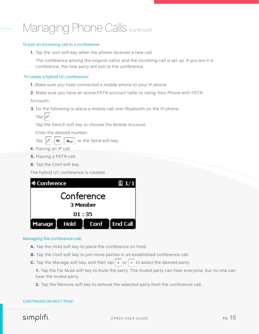#### **To join an incoming call to a conference:**

**1.** Tap the Join soft key when the phone receives a new call.

The conference among the original call(s) and the incoming call is set up. If you are in a conference, the new party will join to the conference.

#### **To create a hybrid UC conference:**

**1.** Make sure you have connected a mobile phone to your IP phone.

**2.** Make sure you have an active PSTN account (refer to Using Your Phone with PSTN

Account).

**3.** Do the following to place a mobile call over Bluetooth on the IP phone.

Tap the Switch soft key to choose the Mobile Account.

Enter the desired number.

- Tap  $\left| \int_{\alpha} \right|$ ,  $\left| \int_{\alpha} \right|$  or the Send soft key.
- **4.** Placing an IP call.
- **5.** Placing a PSTN call.
- **6.** Tap the Conf soft key.

The hybrid UC conference is created.



#### **Managing the conference call:**

- **A .** Tap the Hold soft key to place the conference on hold.
- **B.** Tap the Conf soft key to join more parties in an established conference call.
- **C.** Tap the Manage soft key, and then tap  $\lfloor \cdot \rfloor$  or  $\lfloor \cdot \rfloor$  to select the desired party:

**1.** Tap the Far Mute soft key to mute the party. The muted party can hear everyone, but no one can hear the muted party.

**2.** Tap the Remove soft key to remove the selected party from the conference call.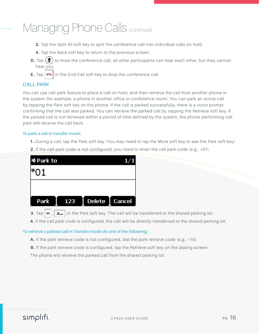- **3.** Tap the Split All soft key to split the conference call into individual calls on hold.
- **4.** Tap the Back soft key to return to the previous screen.
- **D.** Tap  $(\blacktriangleright)$  to mute the conference call, all other participants can hear each other, but they cannot hear you.
- **E.** Tap  $\left| \bigcap_{n=1}^{\infty} \right|$  or the End Call soft key to drop the conference call.

#### **CALL PARK**

You can use call park feature to place a call on hold, and then retrieve the call from another phone in the system (for example, a phone in another office or conference room). You can park an active call by tapping the Park soft key on the phone. If the call is parked successfully, there is a voice prompt confirming that the call was parked. You can retrieve the parked call by tapping the Retrieve soft key. If the parked call is not retrieved within a period of time defined by the system, the phone performing call park will receive the call back.

#### **To park a call in transfer mode:**

- **1.** During a call, tap the Park soft key (You may need to tap the More soft key to see the Park soft key).
- **2.** If the call park code is not configured, you need to enter the call park code (e.g.,  $*01$ ).

| IO Park to |                        |  |
|------------|------------------------|--|
| *01        |                        |  |
|            |                        |  |
|            | Park 123 Delete Cancel |  |

- **3.** Tap  $\left[\alpha\right]$ ,  $\left[\frac{H_{\text{max}}}{H_{\text{max}}} \right]$  or the Park soft key. The call will be transferred to the shared parking lot.
- **4.** If the call park code is configured, the call will be directly transferred to the shared parking lot.

#### **To retrieve a parked call in Transfer mode do one of the following:**

- **A.** If the park retrieve code is not configured, dial the park retrieve code (e.g.,  $*10$ ).
- **B.** If the park retrieve code is configured, tap the Retrieve soft key on the dialing screen.

The phone will retrieve the parked call from the shared parking lot.